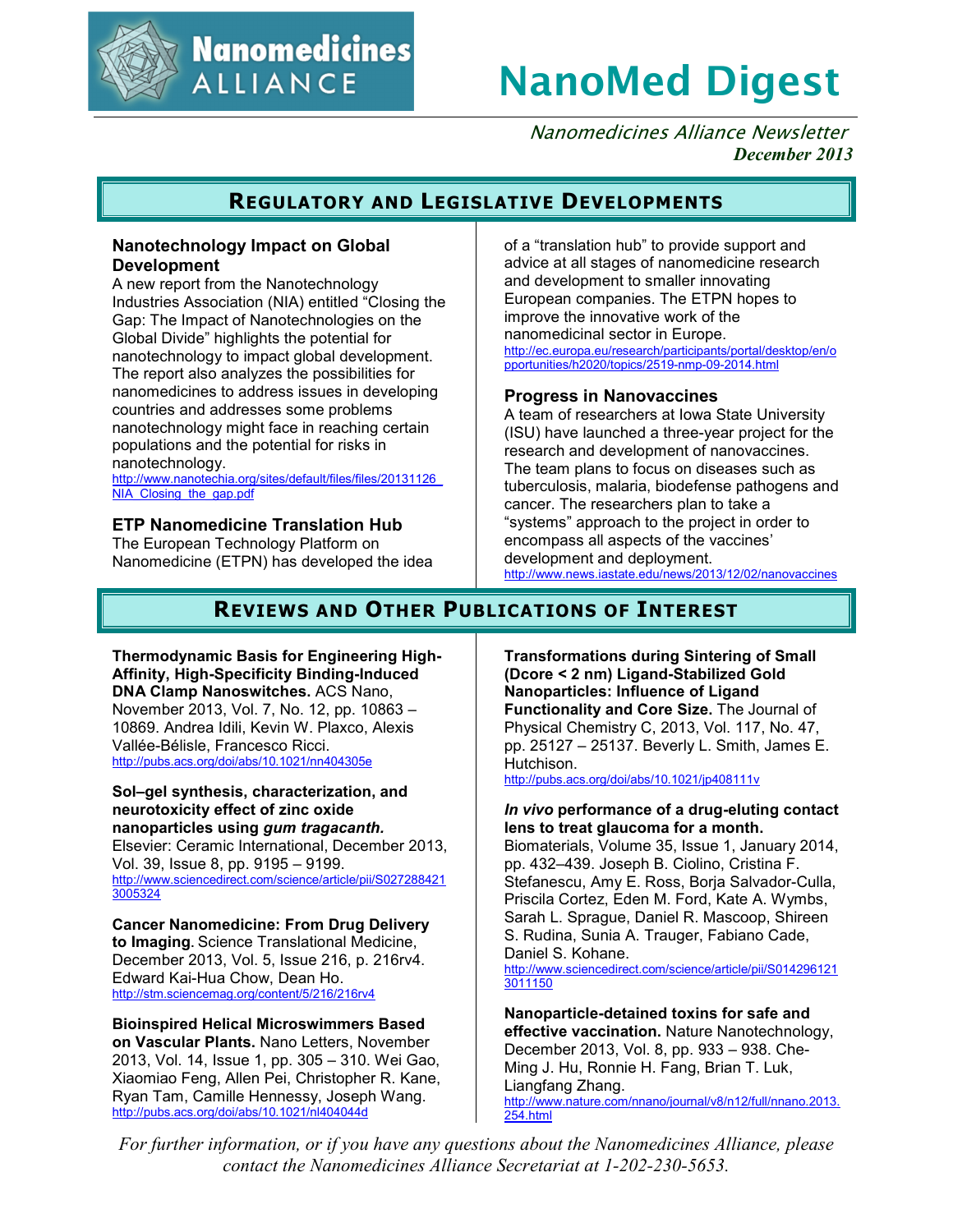

**Nanomedicines ALLIANCE** 

# **NanoMed Digest**

Nanomedicines Alliance Newsletter *December 2013*

# **REGULATORY AND LEGISLATIVE DEVELOPMENTS**

### **Nanotechnology Impact on Global Development**

A new report from the Nanotechnology Industries Association (NIA) entitled "Closing the Gap: The Impact of Nanotechnologies on the Global Divide" highlights the potential for nanotechnology to impact global development. The report also analyzes the possibilities for nanomedicines to address issues in developing countries and addresses some problems nanotechnology might face in reaching certain populations and the potential for risks in nanotechnology.

http://www.nanotechia.org/sites/default/files/files/20131126\_ NIA Closing the gap.pdf

## **ETP Nanomedicine Translation Hub**

The European Technology Platform on Nanomedicine (ETPN) has developed the idea of a "translation hub" to provide support and advice at all stages of nanomedicine research and development to smaller innovating European companies. The ETPN hopes to improve the innovative work of the nanomedicinal sector in Europe. http://ec.europa.eu/research/participants/portal/desktop/en/o pportunities/h2020/topics/2519-nmp-09-2014.html

#### **Progress in Nanovaccines**

A team of researchers at Iowa State University (ISU) have launched a three-year project for the research and development of nanovaccines. The team plans to focus on diseases such as tuberculosis, malaria, biodefense pathogens and cancer. The researchers plan to take a "systems" approach to the project in order to encompass all aspects of the vaccines' development and deployment. http://www.news.iastate.edu/news/2013/12/02/nanovaccines

# **REVIEWS AND OTHER PUBLICATIONS OF INTEREST**

**Thermodynamic Basis for Engineering High-Affinity, High-Specificity Binding-Induced DNA Clamp Nanoswitches.** ACS Nano, November 2013, Vol. 7, No. 12, pp. 10863 – 10869. Andrea Idili, Kevin W. Plaxco, Alexis Vallée-Bélisle, Francesco Ricci. http://pubs.acs.org/doi/abs/10.1021/nn404305e

#### **Sol–gel synthesis, characterization, and neurotoxicity effect of zinc oxide nanoparticles using** *gum tragacanth.*

Elsevier: Ceramic International, December 2013, Vol. 39, Issue 8, pp. 9195 – 9199. http://www.sciencedirect.com/science/article/pii/S027288421 3005324

**Cancer Nanomedicine: From Drug Delivery to Imaging.** Science Translational Medicine, December 2013, Vol. 5, Issue 216, p. 216rv4. Edward Kai-Hua Chow, Dean Ho. http://stm.sciencemag.org/content/5/216/216rv4

**Bioinspired Helical Microswimmers Based on Vascular Plants.** Nano Letters, November 2013, Vol. 14, Issue 1, pp. 305 – 310. Wei Gao, Xiaomiao Feng, Allen Pei, Christopher R. Kane, Ryan Tam, Camille Hennessy, Joseph Wang. http://pubs.acs.org/doi/abs/10.1021/nl404044d

**Transformations during Sintering of Small (Dcore < 2 nm) Ligand-Stabilized Gold Nanoparticles: Influence of Ligand Functionality and Core Size.** The Journal of Physical Chemistry C, 2013, Vol. 117, No. 47, pp. 25127 – 25137. Beverly L. Smith, James E. Hutchison.

http://pubs.acs.org/doi/abs/10.1021/jp408111v

#### *In vivo* **performance of a drug-eluting contact lens to treat glaucoma for a month.**

Biomaterials, Volume 35, Issue 1, January 2014, pp. 432–439. Joseph B. Ciolino, Cristina F. Stefanescu, Amy E. Ross, Borja Salvador-Culla, Priscila Cortez, Eden M. Ford, Kate A. Wymbs, Sarah L. Sprague, Daniel R. Mascoop, Shireen S. Rudina, Sunia A. Trauger, Fabiano Cade, Daniel S. Kohane.

http://www.sciencedirect.com/science/article/pii/S014296121 3011150

**Nanoparticle-detained toxins for safe and effective vaccination.** Nature Nanotechnology, December 2013, Vol. 8, pp. 933 – 938. Che-Ming J. Hu, Ronnie H. Fang, Brian T. Luk, Liangfang Zhang. http://www.nature.com/nnano/journal/v8/n12/full/nnano.2013. 254.html

*For further information, or if you have any questions about the Nanomedicines Alliance, please contact the Nanomedicines Alliance Secretariat at 1-202-230-5653.*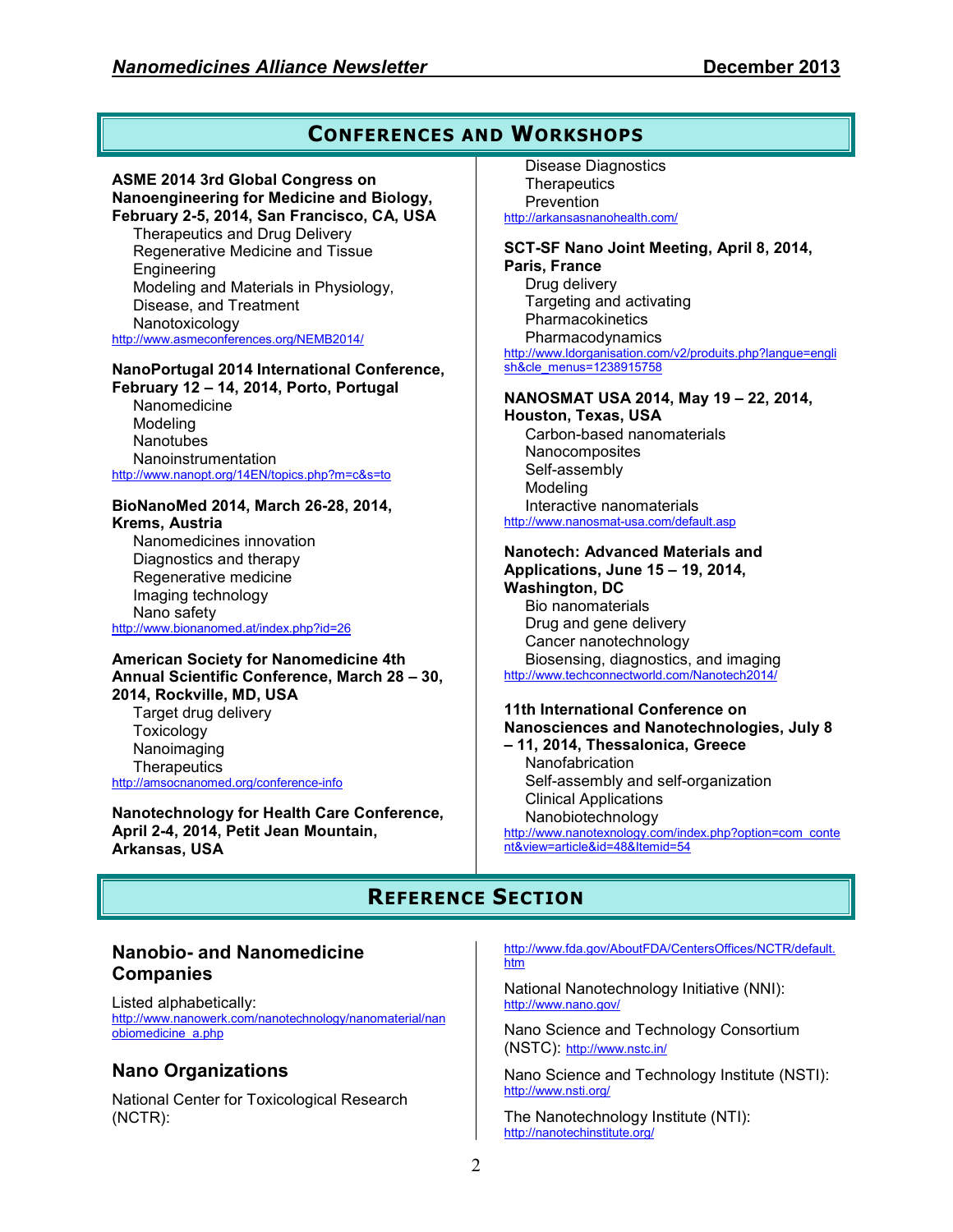# **CONFERENCES AND WORKSHOPS**

#### **ASME 2014 3rd Global Congress on Nanoengineering for Medicine and Biology, February 2-5, 2014, San Francisco, CA, USA**

Therapeutics and Drug Delivery Regenerative Medicine and Tissue Engineering Modeling and Materials in Physiology, Disease, and Treatment Nanotoxicology http://www.asmeconferences.org/NEMB2014/

## **NanoPortugal 2014 International Conference,**

**February 12 – 14, 2014, Porto, Portugal** Nanomedicine Modeling **Nanotubes** Nanoinstrumentation http://www.nanopt.org/14EN/topics.php?m=c&s=to

## **BioNanoMed 2014, March 26-28, 2014,**

**Krems, Austria**  Nanomedicines innovation Diagnostics and therapy

Regenerative medicine Imaging technology Nano safety http://www.bionanomed.at/index.php?id=26

#### **American Society for Nanomedicine 4th Annual Scientific Conference, March 28 – 30, 2014, Rockville, MD, USA**

Target drug delivery **Toxicology** Nanoimaging **Therapeutics** http://amsocnanomed.org/conference-info

**Nanotechnology for Health Care Conference, April 2-4, 2014, Petit Jean Mountain, Arkansas, USA** 

Disease Diagnostics **Therapeutics Prevention** http://arkansasnanohealth.com/

**SCT-SF Nano Joint Meeting, April 8, 2014, Paris, France**  Drug delivery Targeting and activating **Pharmacokinetics** Pharmacodynamics http://www.ldorganisation.com/v2/produits.php?langue=engli sh&cle\_menus=1238915758

#### **NANOSMAT USA 2014, May 19 – 22, 2014,**

**Houston, Texas, USA**  Carbon-based nanomaterials **Nanocomposites** Self-assembly Modeling Interactive nanomaterials http://www.nanosmat-usa.com/default.asp

## **Nanotech: Advanced Materials and**

**Applications, June 15 – 19, 2014, Washington, DC**  Bio nanomaterials Drug and gene delivery Cancer nanotechnology Biosensing, diagnostics, and imaging http://www.techconnectworld.com/Nanotech2014/

#### **11th International Conference on Nanosciences and Nanotechnologies, July 8**

**– 11, 2014, Thessalonica, Greece** Nanofabrication Self-assembly and self-organization Clinical Applications Nanobiotechnology http://www.nanotexnology.com/index.php?option=com\_conte nt&view=article&id=48&Itemid=54

# **REFERENCE SECTION**

## **Nanobio- and Nanomedicine Companies**

Listed alphabetically: http://www.nanowerk.com/nanotechnology/nanomaterial/nan obiomedicine\_a.php

## **Nano Organizations**

National Center for Toxicological Research (NCTR):

http://www.fda.gov/AboutFDA/CentersOffices/NCTR/default. htm

National Nanotechnology Initiative (NNI): http://www.nano.gov/

Nano Science and Technology Consortium (NSTC): http://www.nstc.in/

Nano Science and Technology Institute (NSTI): http://www.nsti.org/

The Nanotechnology Institute (NTI): http://nanotechinstitute.org/